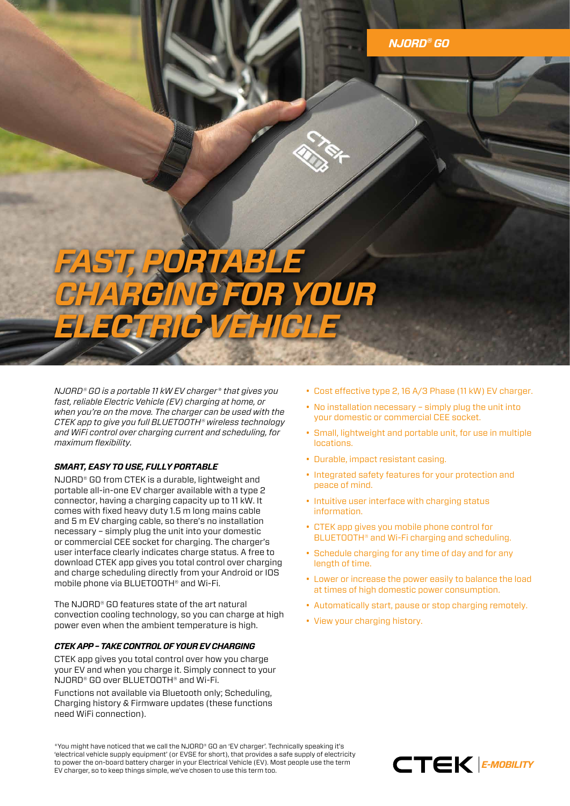## *FAST, PORTABLE CHARGING FOR YOUR ELECTRIC VEHICLE*

*NJORD® GO is a portable 11 kW EV charger\* that gives you fast, reliable Electric Vehicle (EV) charging at home, or when you're on the move. The charger can be used with the CTEK app to give you full BLUETOOTH® wireless technology and WiFi control over charging current and scheduling, for maximum flexibility.*

## *SMART, EASY TO USE, FULLY PORTABLE*

NJORD® GO from CTEK is a durable, lightweight and portable all-in-one EV charger available with a type 2 connector, having a charging capacity up to 11 kW. It comes with fixed heavy duty 1.5 m long mains cable and 5 m EV charging cable, so there's no installation necessary – simply plug the unit into your domestic or commercial CEE socket for charging. The charger's user interface clearly indicates charge status. A free to download CTEK app gives you total control over charging and charge scheduling directly from your Android or IOS mobile phone via BLUETOOTH® and Wi-Fi.

The NJORD® GO features state of the art natural convection cooling technology, so you can charge at high power even when the ambient temperature is high.

## *CTEK APP – TAKE CONTROL OF YOUR EV CHARGING*

CTEK app gives you total control over how you charge your EV and when you charge it. Simply connect to your NJORD® GO over BLUETOOTH® and Wi-Fi.

Functions not available via Bluetooth only; Scheduling, Charging history & Firmware updates (these functions need WiFi connection).

- Cost effective type 2, 16 A/3 Phase (11 kW) EV charger.
- No installation necessary simply plug the unit into your domestic or commercial CEE socket.
- Small, lightweight and portable unit, for use in multiple locations.
- Durable, impact resistant casing.
- Integrated safety features for your protection and peace of mind.
- Intuitive user interface with charging status information.
- CTEK app gives you mobile phone control for BLUETOOTH® and Wi-Fi charging and scheduling.
- Schedule charging for any time of day and for any length of time.
- Lower or increase the power easily to balance the load at times of high domestic power consumption.
- Automatically start, pause or stop charging remotely.
- View your charging history.

\*You might have noticed that we call the NJORD® GO an 'EV charger'. Technically speaking it's 'electrical vehicle supply equipment' (or EVSE for short), that provides a safe supply of electricity to power the on-board battery charger in your Electrical Vehicle (EV). Most people use the term EV charger, so to keep things simple, we've chosen to use this term too.